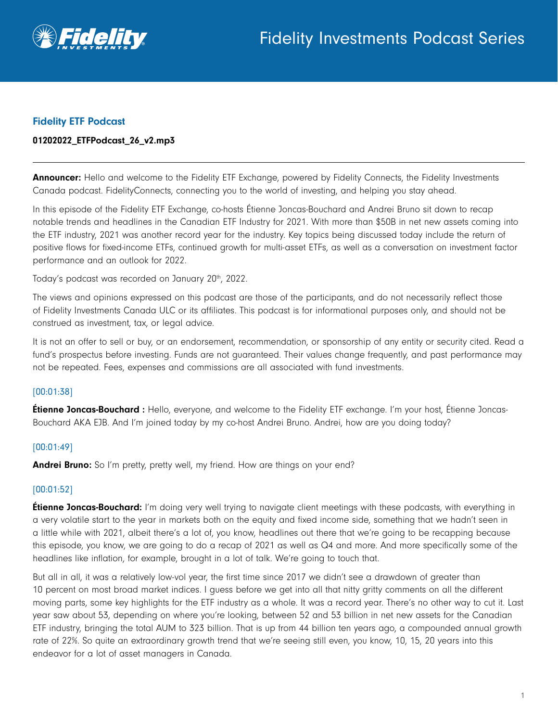

## Fidelity ETF Podcast

#### 01202022\_ETFPodcast\_26\_v2.mp3

**Announcer:** Hello and welcome to the Fidelity ETF Exchange, powered by Fidelity Connects, the Fidelity Investments Canada podcast. FidelityConnects, connecting you to the world of investing, and helping you stay ahead.

In this episode of the Fidelity ETF Exchange, co-hosts Étienne Joncas-Bouchard and Andrei Bruno sit down to recap notable trends and headlines in the Canadian ETF Industry for 2021. With more than \$50B in net new assets coming into the ETF industry, 2021 was another record year for the industry. Key topics being discussed today include the return of positive flows for fixed-income ETFs, continued growth for multi-asset ETFs, as well as a conversation on investment factor performance and an outlook for 2022.

Today's podcast was recorded on January 20th, 2022.

The views and opinions expressed on this podcast are those of the participants, and do not necessarily reflect those of Fidelity Investments Canada ULC or its affiliates. This podcast is for informational purposes only, and should not be construed as investment, tax, or legal advice.

It is not an offer to sell or buy, or an endorsement, recommendation, or sponsorship of any entity or security cited. Read a fund's prospectus before investing. Funds are not guaranteed. Their values change frequently, and past performance may not be repeated. Fees, expenses and commissions are all associated with fund investments.

## [00:01:38]

**Étienne Joncas-Bouchard :** Hello, everyone, and welcome to the Fidelity ETF exchange. I'm your host, Étienne Joncas-Bouchard AKA EJB. And I'm joined today by my co-host Andrei Bruno. Andrei, how are you doing today?

## [00:01:49]

Andrei Bruno: So I'm pretty, pretty well, my friend. How are things on your end?

## [00:01:52]

**Étienne Joncas-Bouchard:** I'm doing very well trying to navigate client meetings with these podcasts, with everything in a very volatile start to the year in markets both on the equity and fixed income side, something that we hadn't seen in a little while with 2021, albeit there's a lot of, you know, headlines out there that we're going to be recapping because this episode, you know, we are going to do a recap of 2021 as well as Q4 and more. And more specifically some of the headlines like inflation, for example, brought in a lot of talk. We're going to touch that.

But all in all, it was a relatively low-vol year, the first time since 2017 we didn't see a drawdown of greater than 10 percent on most broad market indices. I guess before we get into all that nitty gritty comments on all the different moving parts, some key highlights for the ETF industry as a whole. It was a record year. There's no other way to cut it. Last year saw about 53, depending on where you're looking, between 52 and 53 billion in net new assets for the Canadian ETF industry, bringing the total AUM to 323 billion. That is up from 44 billion ten years ago, a compounded annual growth rate of 22%. So quite an extraordinary growth trend that we're seeing still even, you know, 10, 15, 20 years into this endeavor for a lot of asset managers in Canada.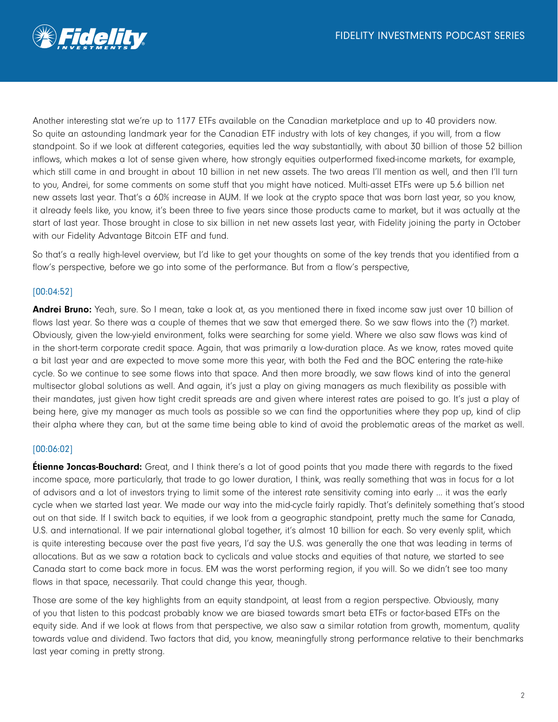

Another interesting stat we're up to 1177 ETFs available on the Canadian marketplace and up to 40 providers now. So quite an astounding landmark year for the Canadian ETF industry with lots of key changes, if you will, from a flow standpoint. So if we look at different categories, equities led the way substantially, with about 30 billion of those 52 billion inflows, which makes a lot of sense given where, how strongly equities outperformed fixed-income markets, for example, which still came in and brought in about 10 billion in net new assets. The two areas I'll mention as well, and then I'll turn to you, Andrei, for some comments on some stuff that you might have noticed. Multi-asset ETFs were up 5.6 billion net new assets last year. That's a 60% increase in AUM. If we look at the crypto space that was born last year, so you know, it already feels like, you know, it's been three to five years since those products came to market, but it was actually at the start of last year. Those brought in close to six billion in net new assets last year, with Fidelity joining the party in October with our Fidelity Advantage Bitcoin ETF and fund.

So that's a really high-level overview, but I'd like to get your thoughts on some of the key trends that you identified from a flow's perspective, before we go into some of the performance. But from a flow's perspective,

## [00:04:52]

Andrei Bruno: Yeah, sure. So I mean, take a look at, as you mentioned there in fixed income saw just over 10 billion of flows last year. So there was a couple of themes that we saw that emerged there. So we saw flows into the (?) market. Obviously, given the low-yield environment, folks were searching for some yield. Where we also saw flows was kind of in the short-term corporate credit space. Again, that was primarily a low-duration place. As we know, rates moved quite a bit last year and are expected to move some more this year, with both the Fed and the BOC entering the rate-hike cycle. So we continue to see some flows into that space. And then more broadly, we saw flows kind of into the general multisector global solutions as well. And again, it's just a play on giving managers as much flexibility as possible with their mandates, just given how tight credit spreads are and given where interest rates are poised to go. It's just a play of being here, give my manager as much tools as possible so we can find the opportunities where they pop up, kind of clip their alpha where they can, but at the same time being able to kind of avoid the problematic areas of the market as well.

## [00:06:02]

**Étienne Joncas-Bouchard:** Great, and I think there's a lot of good points that you made there with regards to the fixed income space, more particularly, that trade to go lower duration, I think, was really something that was in focus for a lot of advisors and a lot of investors trying to limit some of the interest rate sensitivity coming into early ... it was the early cycle when we started last year. We made our way into the mid-cycle fairly rapidly. That's definitely something that's stood out on that side. If I switch back to equities, if we look from a geographic standpoint, pretty much the same for Canada, U.S. and international. If we pair international global together, it's almost 10 billion for each. So very evenly split, which is quite interesting because over the past five years, I'd say the U.S. was generally the one that was leading in terms of allocations. But as we saw a rotation back to cyclicals and value stocks and equities of that nature, we started to see Canada start to come back more in focus. EM was the worst performing region, if you will. So we didn't see too many flows in that space, necessarily. That could change this year, though.

Those are some of the key highlights from an equity standpoint, at least from a region perspective. Obviously, many of you that listen to this podcast probably know we are biased towards smart beta ETFs or factor-based ETFs on the equity side. And if we look at flows from that perspective, we also saw a similar rotation from growth, momentum, quality towards value and dividend. Two factors that did, you know, meaningfully strong performance relative to their benchmarks last year coming in pretty strong.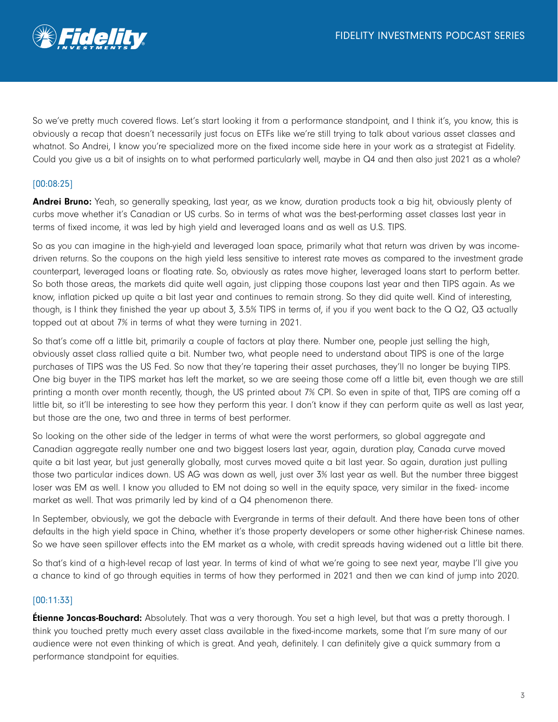

So we've pretty much covered flows. Let's start looking it from a performance standpoint, and I think it's, you know, this is obviously a recap that doesn't necessarily just focus on ETFs like we're still trying to talk about various asset classes and whatnot. So Andrei, I know you're specialized more on the fixed income side here in your work as a strategist at Fidelity. Could you give us a bit of insights on to what performed particularly well, maybe in Q4 and then also just 2021 as a whole?

## [00:08:25]

**Andrei Bruno:** Yeah, so generally speaking, last year, as we know, duration products took a big hit, obviously plenty of curbs move whether it's Canadian or US curbs. So in terms of what was the best-performing asset classes last year in terms of fixed income, it was led by high yield and leveraged loans and as well as U.S. TIPS.

So as you can imagine in the high-yield and leveraged loan space, primarily what that return was driven by was incomedriven returns. So the coupons on the high yield less sensitive to interest rate moves as compared to the investment grade counterpart, leveraged loans or floating rate. So, obviously as rates move higher, leveraged loans start to perform better. So both those areas, the markets did quite well again, just clipping those coupons last year and then TIPS again. As we know, inflation picked up quite a bit last year and continues to remain strong. So they did quite well. Kind of interesting, though, is I think they finished the year up about 3, 3.5% TIPS in terms of, if you if you went back to the Q Q2, Q3 actually topped out at about 7% in terms of what they were turning in 2021.

So that's come off a little bit, primarily a couple of factors at play there. Number one, people just selling the high, obviously asset class rallied quite a bit. Number two, what people need to understand about TIPS is one of the large purchases of TIPS was the US Fed. So now that they're tapering their asset purchases, they'll no longer be buying TIPS. One big buyer in the TIPS market has left the market, so we are seeing those come off a little bit, even though we are still printing a month over month recently, though, the US printed about 7% CPI. So even in spite of that, TIPS are coming off a little bit, so it'll be interesting to see how they perform this year. I don't know if they can perform quite as well as last year, but those are the one, two and three in terms of best performer.

So looking on the other side of the ledger in terms of what were the worst performers, so global aggregate and Canadian aggregate really number one and two biggest losers last year, again, duration play, Canada curve moved quite a bit last year, but just generally globally, most curves moved quite a bit last year. So again, duration just pulling those two particular indices down. US AG was down as well, just over 3% last year as well. But the number three biggest loser was EM as well. I know you alluded to EM not doing so well in the equity space, very similar in the fixed- income market as well. That was primarily led by kind of a Q4 phenomenon there.

In September, obviously, we got the debacle with Evergrande in terms of their default. And there have been tons of other defaults in the high yield space in China, whether it's those property developers or some other higher-risk Chinese names. So we have seen spillover effects into the EM market as a whole, with credit spreads having widened out a little bit there.

So that's kind of a high-level recap of last year. In terms of kind of what we're going to see next year, maybe I'll give you a chance to kind of go through equities in terms of how they performed in 2021 and then we can kind of jump into 2020.

## [00:11:33]

**Étienne Joncas-Bouchard:** Absolutely. That was a very thorough. You set a high level, but that was a pretty thorough. I think you touched pretty much every asset class available in the fixed-income markets, some that I'm sure many of our audience were not even thinking of which is great. And yeah, definitely. I can definitely give a quick summary from a performance standpoint for equities.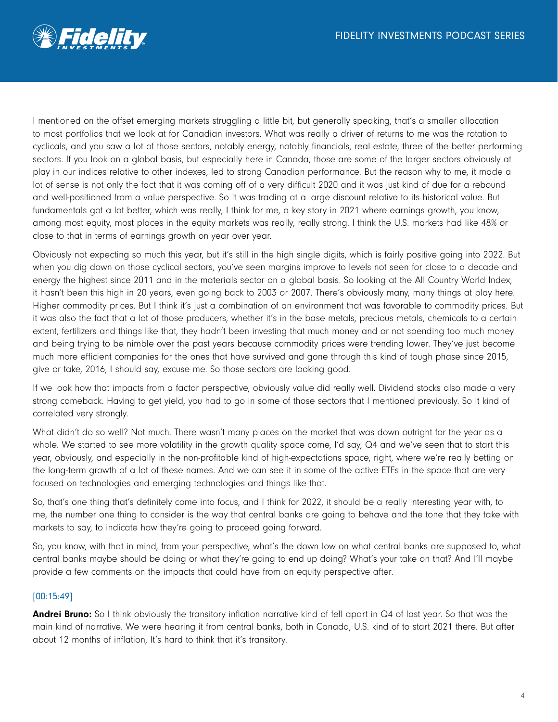

I mentioned on the offset emerging markets struggling a little bit, but generally speaking, that's a smaller allocation to most portfolios that we look at for Canadian investors. What was really a driver of returns to me was the rotation to cyclicals, and you saw a lot of those sectors, notably energy, notably financials, real estate, three of the better performing sectors. If you look on a global basis, but especially here in Canada, those are some of the larger sectors obviously at play in our indices relative to other indexes, led to strong Canadian performance. But the reason why to me, it made a lot of sense is not only the fact that it was coming off of a very difficult 2020 and it was just kind of due for a rebound and well-positioned from a value perspective. So it was trading at a large discount relative to its historical value. But fundamentals got a lot better, which was really, I think for me, a key story in 2021 where earnings growth, you know, among most equity, most places in the equity markets was really, really strong. I think the U.S. markets had like 48% or close to that in terms of earnings growth on year over year.

Obviously not expecting so much this year, but it's still in the high single digits, which is fairly positive going into 2022. But when you dig down on those cyclical sectors, you've seen margins improve to levels not seen for close to a decade and energy the highest since 2011 and in the materials sector on a global basis. So looking at the All Country World Index, it hasn't been this high in 20 years, even going back to 2003 or 2007. There's obviously many, many things at play here. Higher commodity prices. But I think it's just a combination of an environment that was favorable to commodity prices. But it was also the fact that a lot of those producers, whether it's in the base metals, precious metals, chemicals to a certain extent, fertilizers and things like that, they hadn't been investing that much money and or not spending too much money and being trying to be nimble over the past years because commodity prices were trending lower. They've just become much more efficient companies for the ones that have survived and gone through this kind of tough phase since 2015, give or take, 2016, I should say, excuse me. So those sectors are looking good.

If we look how that impacts from a factor perspective, obviously value did really well. Dividend stocks also made a very strong comeback. Having to get yield, you had to go in some of those sectors that I mentioned previously. So it kind of correlated very strongly.

What didn't do so well? Not much. There wasn't many places on the market that was down outright for the year as a whole. We started to see more volatility in the growth quality space come, I'd say, Q4 and we've seen that to start this year, obviously, and especially in the non-profitable kind of high-expectations space, right, where we're really betting on the long-term growth of a lot of these names. And we can see it in some of the active ETFs in the space that are very focused on technologies and emerging technologies and things like that.

So, that's one thing that's definitely come into focus, and I think for 2022, it should be a really interesting year with, to me, the number one thing to consider is the way that central banks are going to behave and the tone that they take with markets to say, to indicate how they're going to proceed going forward.

So, you know, with that in mind, from your perspective, what's the down low on what central banks are supposed to, what central banks maybe should be doing or what they're going to end up doing? What's your take on that? And I'll maybe provide a few comments on the impacts that could have from an equity perspective after.

## [00:15:49]

**Andrei Bruno:** So I think obviously the transitory inflation narrative kind of fell apart in Q4 of last year. So that was the main kind of narrative. We were hearing it from central banks, both in Canada, U.S. kind of to start 2021 there. But after about 12 months of inflation, It's hard to think that it's transitory.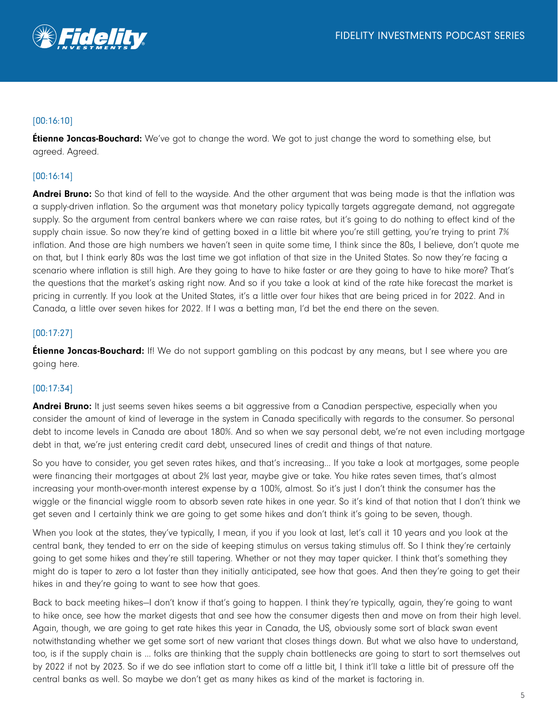

# [00:16:10]

**Étienne Joncas-Bouchard:** We've got to change the word. We got to just change the word to something else, but agreed. Agreed.

## [00:16:14]

Andrei Bruno: So that kind of fell to the wayside. And the other argument that was being made is that the inflation was a supply-driven inflation. So the argument was that monetary policy typically targets aggregate demand, not aggregate supply. So the argument from central bankers where we can raise rates, but it's going to do nothing to effect kind of the supply chain issue. So now they're kind of getting boxed in a little bit where you're still getting, you're trying to print 7% inflation. And those are high numbers we haven't seen in quite some time, I think since the 80s, I believe, don't quote me on that, but I think early 80s was the last time we got inflation of that size in the United States. So now they're facing a scenario where inflation is still high. Are they going to have to hike faster or are they going to have to hike more? That's the questions that the market's asking right now. And so if you take a look at kind of the rate hike forecast the market is pricing in currently. If you look at the United States, it's a little over four hikes that are being priced in for 2022. And in Canada, a little over seven hikes for 2022. If I was a betting man, I'd bet the end there on the seven.

## [00:17:27]

**Étienne Joncas-Bouchard:** If! We do not support gambling on this podcast by any means, but I see where you are going here.

## [00:17:34]

Andrei Bruno: It just seems seven hikes seems a bit aggressive from a Canadian perspective, especially when you consider the amount of kind of leverage in the system in Canada specifically with regards to the consumer. So personal debt to income levels in Canada are about 180%. And so when we say personal debt, we're not even including mortgage debt in that, we're just entering credit card debt, unsecured lines of credit and things of that nature.

So you have to consider, you get seven rates hikes, and that's increasing… If you take a look at mortgages, some people were financing their mortgages at about 2% last year, maybe give or take. You hike rates seven times, that's almost increasing your month-over-month interest expense by a 100%, almost. So it's just I don't think the consumer has the wiggle or the financial wiggle room to absorb seven rate hikes in one year. So it's kind of that notion that I don't think we get seven and I certainly think we are going to get some hikes and don't think it's going to be seven, though.

When you look at the states, they've typically, I mean, if you if you look at last, let's call it 10 years and you look at the central bank, they tended to err on the side of keeping stimulus on versus taking stimulus off. So I think they're certainly going to get some hikes and they're still tapering. Whether or not they may taper quicker. I think that's something they might do is taper to zero a lot faster than they initially anticipated, see how that goes. And then they're going to get their hikes in and they're going to want to see how that goes.

Back to back meeting hikes—I don't know if that's going to happen. I think they're typically, again, they're going to want to hike once, see how the market digests that and see how the consumer digests then and move on from their high level. Again, though, we are going to get rate hikes this year in Canada, the US, obviously some sort of black swan event notwithstanding whether we get some sort of new variant that closes things down. But what we also have to understand, too, is if the supply chain is … folks are thinking that the supply chain bottlenecks are going to start to sort themselves out by 2022 if not by 2023. So if we do see inflation start to come off a little bit, I think it'll take a little bit of pressure off the central banks as well. So maybe we don't get as many hikes as kind of the market is factoring in.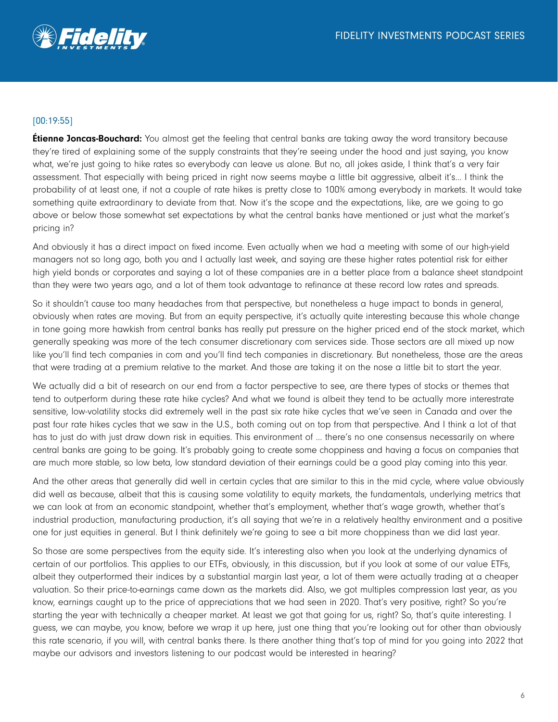

## [00:19:55]

**Étienne Joncas-Bouchard:** You almost get the feeling that central banks are taking away the word transitory because they're tired of explaining some of the supply constraints that they're seeing under the hood and just saying, you know what, we're just going to hike rates so everybody can leave us alone. But no, all jokes aside, I think that's a very fair assessment. That especially with being priced in right now seems maybe a little bit aggressive, albeit it's… I think the probability of at least one, if not a couple of rate hikes is pretty close to 100% among everybody in markets. It would take something quite extraordinary to deviate from that. Now it's the scope and the expectations, like, are we going to go above or below those somewhat set expectations by what the central banks have mentioned or just what the market's pricing in?

And obviously it has a direct impact on fixed income. Even actually when we had a meeting with some of our high-yield managers not so long ago, both you and I actually last week, and saying are these higher rates potential risk for either high yield bonds or corporates and saying a lot of these companies are in a better place from a balance sheet standpoint than they were two years ago, and a lot of them took advantage to refinance at these record low rates and spreads.

So it shouldn't cause too many headaches from that perspective, but nonetheless a huge impact to bonds in general, obviously when rates are moving. But from an equity perspective, it's actually quite interesting because this whole change in tone going more hawkish from central banks has really put pressure on the higher priced end of the stock market, which generally speaking was more of the tech consumer discretionary com services side. Those sectors are all mixed up now like you'll find tech companies in com and you'll find tech companies in discretionary. But nonetheless, those are the areas that were trading at a premium relative to the market. And those are taking it on the nose a little bit to start the year.

We actually did a bit of research on our end from a factor perspective to see, are there types of stocks or themes that tend to outperform during these rate hike cycles? And what we found is albeit they tend to be actually more interestrate sensitive, low-volatility stocks did extremely well in the past six rate hike cycles that we've seen in Canada and over the past four rate hikes cycles that we saw in the U.S., both coming out on top from that perspective. And I think a lot of that has to just do with just draw down risk in equities. This environment of … there's no one consensus necessarily on where central banks are going to be going. It's probably going to create some choppiness and having a focus on companies that are much more stable, so low beta, low standard deviation of their earnings could be a good play coming into this year.

And the other areas that generally did well in certain cycles that are similar to this in the mid cycle, where value obviously did well as because, albeit that this is causing some volatility to equity markets, the fundamentals, underlying metrics that we can look at from an economic standpoint, whether that's employment, whether that's wage growth, whether that's industrial production, manufacturing production, it's all saying that we're in a relatively healthy environment and a positive one for just equities in general. But I think definitely we're going to see a bit more choppiness than we did last year.

So those are some perspectives from the equity side. It's interesting also when you look at the underlying dynamics of certain of our portfolios. This applies to our ETFs, obviously, in this discussion, but if you look at some of our value ETFs, albeit they outperformed their indices by a substantial margin last year, a lot of them were actually trading at a cheaper valuation. So their price-to-earnings came down as the markets did. Also, we got multiples compression last year, as you know, earnings caught up to the price of appreciations that we had seen in 2020. That's very positive, right? So you're starting the year with technically a cheaper market. At least we got that going for us, right? So, that's quite interesting. I guess, we can maybe, you know, before we wrap it up here, just one thing that you're looking out for other than obviously this rate scenario, if you will, with central banks there. Is there another thing that's top of mind for you going into 2022 that maybe our advisors and investors listening to our podcast would be interested in hearing?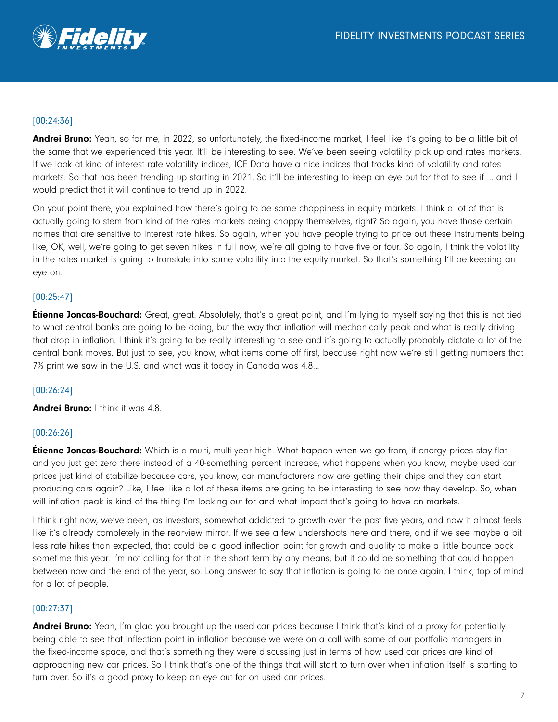

## [00:24:36]

Andrei Bruno: Yeah, so for me, in 2022, so unfortunately, the fixed-income market, I feel like it's going to be a little bit of the same that we experienced this year. It'll be interesting to see. We've been seeing volatility pick up and rates markets. If we look at kind of interest rate volatility indices, ICE Data have a nice indices that tracks kind of volatility and rates markets. So that has been trending up starting in 2021. So it'll be interesting to keep an eye out for that to see if ... and I would predict that it will continue to trend up in 2022.

On your point there, you explained how there's going to be some choppiness in equity markets. I think a lot of that is actually going to stem from kind of the rates markets being choppy themselves, right? So again, you have those certain names that are sensitive to interest rate hikes. So again, when you have people trying to price out these instruments being like, OK, well, we're going to get seven hikes in full now, we're all going to have five or four. So again, I think the volatility in the rates market is going to translate into some volatility into the equity market. So that's something I'll be keeping an eye on.

## [00:25:47]

**Étienne Joncas-Bouchard:** Great, great. Absolutely, that's a great point, and I'm lying to myself saying that this is not tied to what central banks are going to be doing, but the way that inflation will mechanically peak and what is really driving that drop in inflation. I think it's going to be really interesting to see and it's going to actually probably dictate a lot of the central bank moves. But just to see, you know, what items come off first, because right now we're still getting numbers that 7% print we saw in the U.S. and what was it today in Canada was 4.8…

## [00:26:24]

Andrei Bruno: I think it was 4.8.

## [00:26:26]

**Étienne Joncas-Bouchard:** Which is a multi, multi-year high. What happen when we go from, if energy prices stay flat and you just get zero there instead of a 40-something percent increase, what happens when you know, maybe used car prices just kind of stabilize because cars, you know, car manufacturers now are getting their chips and they can start producing cars again? Like, I feel like a lot of these items are going to be interesting to see how they develop. So, when will inflation peak is kind of the thing I'm looking out for and what impact that's going to have on markets.

I think right now, we've been, as investors, somewhat addicted to growth over the past five years, and now it almost feels like it's already completely in the rearview mirror. If we see a few undershoots here and there, and if we see maybe a bit less rate hikes than expected, that could be a good inflection point for growth and quality to make a little bounce back sometime this year. I'm not calling for that in the short term by any means, but it could be something that could happen between now and the end of the year, so. Long answer to say that inflation is going to be once again, I think, top of mind for a lot of people.

## [00:27:37]

Andrei Bruno: Yeah, I'm glad you brought up the used car prices because I think that's kind of a proxy for potentially being able to see that inflection point in inflation because we were on a call with some of our portfolio managers in the fixed-income space, and that's something they were discussing just in terms of how used car prices are kind of approaching new car prices. So I think that's one of the things that will start to turn over when inflation itself is starting to turn over. So it's a good proxy to keep an eye out for on used car prices.